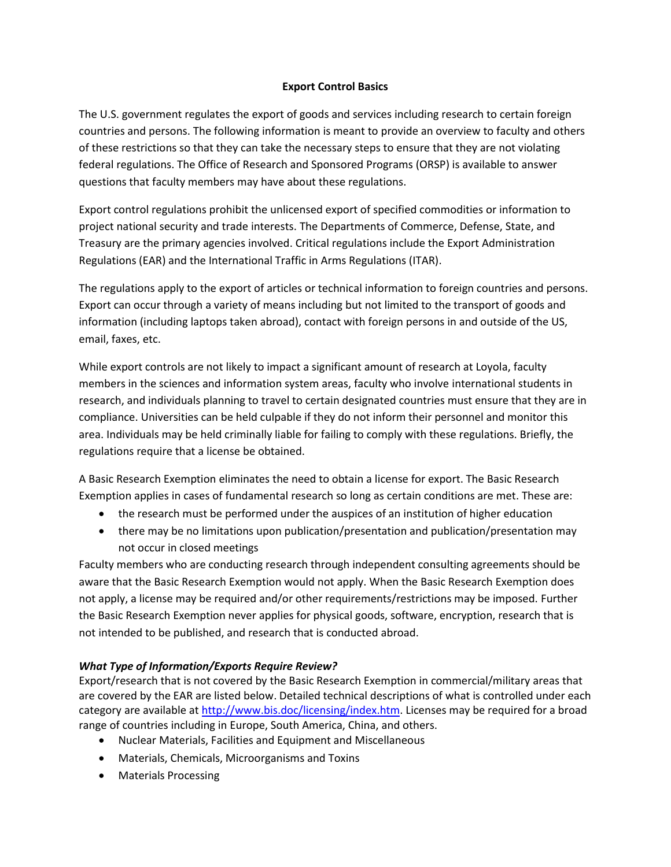## **Export Control Basics**

The U.S. government regulates the export of goods and services including research to certain foreign countries and persons. The following information is meant to provide an overview to faculty and others of these restrictions so that they can take the necessary steps to ensure that they are not violating federal regulations. The Office of Research and Sponsored Programs (ORSP) is available to answer questions that faculty members may have about these regulations.

Export control regulations prohibit the unlicensed export of specified commodities or information to project national security and trade interests. The Departments of Commerce, Defense, State, and Treasury are the primary agencies involved. Critical regulations include the Export Administration Regulations (EAR) and the International Traffic in Arms Regulations (ITAR).

The regulations apply to the export of articles or technical information to foreign countries and persons. Export can occur through a variety of means including but not limited to the transport of goods and information (including laptops taken abroad), contact with foreign persons in and outside of the US, email, faxes, etc.

While export controls are not likely to impact a significant amount of research at Loyola, faculty members in the sciences and information system areas, faculty who involve international students in research, and individuals planning to travel to certain designated countries must ensure that they are in compliance. Universities can be held culpable if they do not inform their personnel and monitor this area. Individuals may be held criminally liable for failing to comply with these regulations. Briefly, the regulations require that a license be obtained.

A Basic Research Exemption eliminates the need to obtain a license for export. The Basic Research Exemption applies in cases of fundamental research so long as certain conditions are met. These are:

- the research must be performed under the auspices of an institution of higher education
- there may be no limitations upon publication/presentation and publication/presentation may not occur in closed meetings

Faculty members who are conducting research through independent consulting agreements should be aware that the Basic Research Exemption would not apply. When the Basic Research Exemption does not apply, a license may be required and/or other requirements/restrictions may be imposed. Further the Basic Research Exemption never applies for physical goods, software, encryption, research that is not intended to be published, and research that is conducted abroad.

## *What Type of Information/Exports Require Review?*

Export/research that is not covered by the Basic Research Exemption in commercial/military areas that are covered by the EAR are listed below. Detailed technical descriptions of what is controlled under each category are available at [http://www.bis.doc/licensing/index.htm.](http://www.bis.doc/licensing/index.htm) Licenses may be required for a broad range of countries including in Europe, South America, China, and others.

- Nuclear Materials, Facilities and Equipment and Miscellaneous
- Materials, Chemicals, Microorganisms and Toxins
- Materials Processing